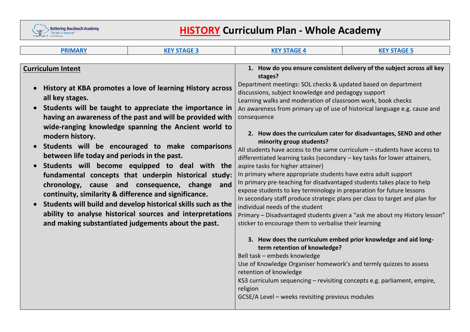

# **HISTORY Curriculum Plan - Whole Academy**

| <b>PRIMARY</b>                                                                                                                                                                                                                                                                                                                                                                                                                                                                                                | <b>KEY STAGE 3</b>                                                                                                                                                                                                                                                                            | <b>KEY STAGE 4</b>                                                                                                                                                                                                                                                                                                                                                                                                                                                                                                                                                                                                                                                                                                                                                                                                                                     | <b>KEY STAGE 5</b> |
|---------------------------------------------------------------------------------------------------------------------------------------------------------------------------------------------------------------------------------------------------------------------------------------------------------------------------------------------------------------------------------------------------------------------------------------------------------------------------------------------------------------|-----------------------------------------------------------------------------------------------------------------------------------------------------------------------------------------------------------------------------------------------------------------------------------------------|--------------------------------------------------------------------------------------------------------------------------------------------------------------------------------------------------------------------------------------------------------------------------------------------------------------------------------------------------------------------------------------------------------------------------------------------------------------------------------------------------------------------------------------------------------------------------------------------------------------------------------------------------------------------------------------------------------------------------------------------------------------------------------------------------------------------------------------------------------|--------------------|
|                                                                                                                                                                                                                                                                                                                                                                                                                                                                                                               |                                                                                                                                                                                                                                                                                               |                                                                                                                                                                                                                                                                                                                                                                                                                                                                                                                                                                                                                                                                                                                                                                                                                                                        |                    |
| <b>Curriculum Intent</b><br><b>History at KBA promotes a love of learning History across</b><br>$\bullet$<br>all key stages.<br>Students will be taught to appreciate the importance in<br>$\bullet$<br>having an awareness of the past and will be provided with<br>wide-ranging knowledge spanning the Ancient world to<br>modern history.<br>Students will be encouraged to make comparisons<br>between life today and periods in the past.<br>Students will become equipped to deal with the<br>$\bullet$ |                                                                                                                                                                                                                                                                                               | 1. How do you ensure consistent delivery of the subject across all key<br>stages?<br>Department meetings: SOL checks & updated based on department<br>discussions, subject knowledge and pedagogy support<br>Learning walks and moderation of classroom work, book checks<br>An awareness from primary up of use of historical language e.g. cause and<br>consequence<br>2. How does the curriculum cater for disadvantages, SEND and other<br>minority group students?<br>All students have access to the same curriculum $-$ students have access to<br>differentiated learning tasks (secondary – key tasks for lower attainers,<br>aspire tasks for higher attainer)                                                                                                                                                                               |                    |
| continuity, similarity & difference and significance.<br>$\bullet$                                                                                                                                                                                                                                                                                                                                                                                                                                            | fundamental concepts that underpin historical study:<br>chronology, cause and consequence, change<br>and<br>Students will build and develop historical skills such as the<br>ability to analyse historical sources and interpretations<br>and making substantiated judgements about the past. | In primary where appropriate students have extra adult support<br>In primary pre-teaching for disadvantaged students takes place to help<br>expose students to key terminology in preparation for future lessons<br>In secondary staff produce strategic plans per class to target and plan for<br>individual needs of the student<br>Primary - Disadvantaged students given a "ask me about my History lesson"<br>sticker to encourage them to verbalise their learning<br>3. How does the curriculum embed prior knowledge and aid long-<br>term retention of knowledge?<br>Bell task - embeds knowledge<br>Use of Knowledge Organiser homework's and termly quizzes to assess<br>retention of knowledge<br>KS3 curriculum sequencing - revisiting concepts e.g. parliament, empire,<br>religion<br>GCSE/A Level - weeks revisiting previous modules |                    |
|                                                                                                                                                                                                                                                                                                                                                                                                                                                                                                               |                                                                                                                                                                                                                                                                                               |                                                                                                                                                                                                                                                                                                                                                                                                                                                                                                                                                                                                                                                                                                                                                                                                                                                        |                    |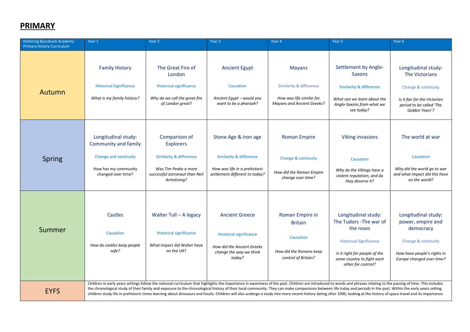#### <span id="page-1-0"></span>**PRIMARY**

| Kettering Buccleuch Academy<br><b>Primary History Curriculum</b> | Year 1                                                                                                             | Year <sub>2</sub>                                                                                                                                                                                                                                                                                                                                                                                                                                                                                                                                                                                                                                                    | Year 3                                                                                                                            | Year 4                                                                                                               | Year 5                                                                                                                                                                             | Year <sub>6</sub>                                                                                                                          |
|------------------------------------------------------------------|--------------------------------------------------------------------------------------------------------------------|----------------------------------------------------------------------------------------------------------------------------------------------------------------------------------------------------------------------------------------------------------------------------------------------------------------------------------------------------------------------------------------------------------------------------------------------------------------------------------------------------------------------------------------------------------------------------------------------------------------------------------------------------------------------|-----------------------------------------------------------------------------------------------------------------------------------|----------------------------------------------------------------------------------------------------------------------|------------------------------------------------------------------------------------------------------------------------------------------------------------------------------------|--------------------------------------------------------------------------------------------------------------------------------------------|
| Autumn                                                           | <b>Family History</b><br><b>Historical Significance</b><br>What is my family history?                              | The Great Fire of<br>London<br><b>Historical significance</b><br>Why do we call the great fire<br>of London great?                                                                                                                                                                                                                                                                                                                                                                                                                                                                                                                                                   | <b>Ancient Egypt</b><br>Causation<br>Ancient Egypt - would you<br>want to be a pharaoh?                                           | <b>Mayans</b><br><b>Similarity &amp; difference</b><br>How was life similar for<br><b>Mayans and Ancient Greeks?</b> | Settlement by Anglo-<br>Saxons<br><b>Similarity &amp; difference</b><br>What can we learn about the<br>Anglo-Saxons from what we<br>see today?                                     | Longitudinal study:<br>The Victorians<br>Change & continuity<br>Is it fair for the Victorian<br>period to be called 'The<br>Golden Years'? |
| Spring                                                           | Longitudinal study:<br>Community and family<br>Change and continuity<br>How has my community<br>changed over time? | Comparison of<br><b>Explorers</b><br><b>Similarity &amp; difference</b><br>Was Tim Peake a more<br>successful astronaut than Neil<br>Armstrong?                                                                                                                                                                                                                                                                                                                                                                                                                                                                                                                      | Stone Age & Iron age<br><b>Similarity &amp; difference</b><br>How was life in a prehistoric<br>settlement different to today?     | <b>Roman Empire</b><br>Change & continuity<br>How did the Roman Empire<br>change over time?                          | <b>Viking invasions</b><br>Causation<br>Why do the Vikings have a<br>violent reputation, and do<br>they deserve it?                                                                | The world at war<br>Causation<br>Why did the world go to war<br>and what impact did this have<br>on the world?                             |
| Summer                                                           | Castles<br>Causation<br>How do castles keep people<br>safe?                                                        | Walter Tull - A legacy<br><b>Historical significance</b><br>What impact did Walter have<br>on the UK?                                                                                                                                                                                                                                                                                                                                                                                                                                                                                                                                                                | <b>Ancient Greece</b><br><b>Historical significance</b><br><b>How did the Ancient Greeks</b><br>change the way we think<br>today? | Roman Empire in<br><b>Britain</b><br>Causation<br>How did the Romans keep<br>control of Britain?                     | Longitudinal study:<br>The Tudors - The war of<br>the roses<br><b>Historical Significance</b><br>Is it right for people of the<br>same country to fight each<br>other for control? | Longitudinal study:<br>power, empire and<br>democracy<br>Change & continuity<br>How have people's rights in<br>Europe changed over time?   |
| <b>EYFS</b>                                                      |                                                                                                                    | Children in early years settings follow the national curriculum that highlights the importance in awareness of the past. Children are introduced to words and phrases relating to the passing of time. This includes<br>the chronological study of their family and exposure to the chronological history of their local community. They can make comparisons between life today and periods in the past. Within the early years setting<br>children study life in prehistoric times learning about dinosaurs and fossils. Children will also undergo a study into more recent history dating after 1900, looking at the history of space travel and its importance. |                                                                                                                                   |                                                                                                                      |                                                                                                                                                                                    |                                                                                                                                            |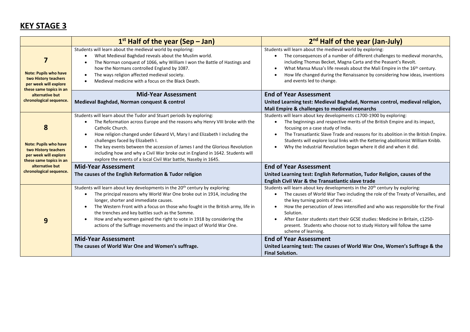## <span id="page-2-0"></span>**KEY STAGE 3**

|                                                                                                                                                             | $1st$ Half of the year (Sep – Jan)                                                                                                                                                                                                                                                                                                                                                                                                                                                                                                        | 2 <sup>nd</sup> Half of the year (Jan-July)                                                                                                                                                                                                                                                                                                                                                                                                                                                                  |
|-------------------------------------------------------------------------------------------------------------------------------------------------------------|-------------------------------------------------------------------------------------------------------------------------------------------------------------------------------------------------------------------------------------------------------------------------------------------------------------------------------------------------------------------------------------------------------------------------------------------------------------------------------------------------------------------------------------------|--------------------------------------------------------------------------------------------------------------------------------------------------------------------------------------------------------------------------------------------------------------------------------------------------------------------------------------------------------------------------------------------------------------------------------------------------------------------------------------------------------------|
| 7<br><b>Note: Pupils who have</b><br>two History teachers<br>per week will explore<br>these same topics in an<br>alternative but<br>chronological sequence. | Students will learn about the medieval world by exploring:<br>What Medieval Baghdad reveals about the Muslim world.<br>$\bullet$<br>The Norman conquest of 1066, why William I won the Battle of Hastings and<br>how the Normans controlled England by 1087.<br>The ways religion affected medieval society.<br>Medieval medicine with a focus on the Black Death.                                                                                                                                                                        | Students will learn about the medieval world by exploring:<br>The consequences of a number of different challenges to medieval monarchs,<br>$\bullet$<br>including Thomas Becket, Magna Carta and the Peasant's Revolt.<br>What Mansa Musa's life reveals about the Mali Empire in the 16 <sup>th</sup> century.<br>$\bullet$<br>How life changed during the Renaissance by considering how ideas, inventions<br>and events led to change.                                                                   |
|                                                                                                                                                             | <b>Mid-Year Assessment</b><br>Medieval Baghdad, Norman conquest & control                                                                                                                                                                                                                                                                                                                                                                                                                                                                 | <b>End of Year Assessment</b><br>United Learning test: Medieval Baghdad, Norman control, medieval religion,<br>Mali Empire & challenges to medieval monarchs                                                                                                                                                                                                                                                                                                                                                 |
| 8<br><b>Note: Pupils who have</b><br>two History teachers<br>per week will explore<br>these same topics in an<br>alternative but<br>chronological sequence. | Students will learn about the Tudor and Stuart periods by exploring:<br>The Reformation across Europe and the reasons why Henry VIII broke with the<br>Catholic Church.<br>How religion changed under Edward VI, Mary I and Elizabeth I including the<br>$\bullet$<br>challenges faced by Elizabeth I.<br>The key events between the accession of James I and the Glorious Revolution<br>including how and why a Civil War broke out in England in 1642. Students will<br>explore the events of a local Civil War battle, Naseby in 1645. | Students will learn about key developments c1700-1900 by exploring:<br>The beginnings and respective merits of the British Empire and its impact,<br>focusing on a case study of India.<br>The Transatlantic Slave Trade and reasons for its abolition in the British Empire.<br>$\bullet$<br>Students will explore local links with the Kettering abolitionist William Knibb.<br>Why the Industrial Revolution began where it did and when it did.                                                          |
|                                                                                                                                                             | <b>Mid-Year Assessment</b><br>The causes of the English Reformation & Tudor religion                                                                                                                                                                                                                                                                                                                                                                                                                                                      | <b>End of Year Assessment</b><br>United Learning test: English Reformation, Tudor Religion, causes of the<br>English Civil War & the Transatlantic slave trade                                                                                                                                                                                                                                                                                                                                               |
| 9                                                                                                                                                           | Students will learn about key developments in the 20 <sup>th</sup> century by exploring:<br>The principal reasons why World War One broke out in 1914, including the<br>$\bullet$<br>longer, shorter and immediate causes.<br>The Western Front with a focus on those who fought in the British army, life in<br>the trenches and key battles such as the Somme.<br>How and why women gained the right to vote in 1918 by considering the<br>actions of the Suffrage movements and the impact of World War One.                           | Students will learn about key developments in the 20 <sup>th</sup> century by exploring:<br>The causes of World War Two including the role of the Treaty of Versailles, and<br>$\bullet$<br>the key turning points of the war.<br>How the persecution of Jews intensified and who was responsible for the Final<br>Solution.<br>After Easter students start their GCSE studies: Medicine in Britain, c1250-<br>present. Students who choose not to study History will follow the same<br>scheme of learning. |
|                                                                                                                                                             | <b>Mid-Year Assessment</b><br>The causes of World War One and Women's suffrage.                                                                                                                                                                                                                                                                                                                                                                                                                                                           | <b>End of Year Assessment</b><br>United Learning test: The causes of World War One, Women's Suffrage & the<br><b>Final Solution.</b>                                                                                                                                                                                                                                                                                                                                                                         |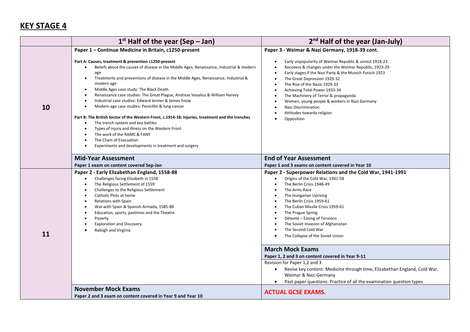## <span id="page-3-0"></span>**KEY STAGE 4**

<span id="page-3-1"></span>

|    | $1st$ Half of the year (Sep – Jan)                                                                                                                                                                                                                                                                                                                                                                                                                                                                                     | 2 <sup>nd</sup> Half of the year (Jan-July)                                                                                                                                                                                                                                                                                                                                                                                                        |  |  |
|----|------------------------------------------------------------------------------------------------------------------------------------------------------------------------------------------------------------------------------------------------------------------------------------------------------------------------------------------------------------------------------------------------------------------------------------------------------------------------------------------------------------------------|----------------------------------------------------------------------------------------------------------------------------------------------------------------------------------------------------------------------------------------------------------------------------------------------------------------------------------------------------------------------------------------------------------------------------------------------------|--|--|
|    | Paper 1 - Continue Medicine in Britain, c1250-present                                                                                                                                                                                                                                                                                                                                                                                                                                                                  | Paper 3 - Weimar & Nazi Germany, 1918-39 cont.                                                                                                                                                                                                                                                                                                                                                                                                     |  |  |
| 10 | Part A: Causes, treatment & prevention c1250-present<br>Beliefs about the causes of disease in the Middle Ages, Renaissance, Industrial & modern<br>age<br>Treatments and preventions of disease in the Middle Ages, Renaissance, Industrial &<br>$\bullet$<br>modern age<br>Middle Ages case study: The Black Death<br>٠<br>Renaissance case studies: The Great Plague, Andreas Vesalius & William Harvey<br>Industrial case studies: Edward Jenner & James Snow<br>Modern age case studies: Penicillin & lung cancer | Early unpopularity of Weimar Republic & unrest 1918-23<br>$\bullet$<br>Recovery & changes under the Weimar Republic, 1923-29<br>Early stages if the Nazi Party & the Munich Putsch 1923<br>The Great Depression 1929-32<br>The Rise of the Nazis 1929-33<br>Achieving Total Power 1933-34<br>The Machinery of Terror & propaganda<br>Women, young people & workers in Nazi Germany<br>Nazi Discrimination<br>Attitudes towards religion            |  |  |
|    | Part B: The British Sector of the Western Front, c.1914-18: Injuries, treatment and the trenches<br>The trench system and key battles<br>$\bullet$<br>Types of injury and illness on the Western Front<br>The work of the RAMC & FANY<br>The Chain of Evacuation<br>$\bullet$<br>Experiments and developments in treatment and surgery                                                                                                                                                                                 | Opposition                                                                                                                                                                                                                                                                                                                                                                                                                                         |  |  |
|    | <b>Mid-Year Assessment</b>                                                                                                                                                                                                                                                                                                                                                                                                                                                                                             | <b>End of Year Assessment</b>                                                                                                                                                                                                                                                                                                                                                                                                                      |  |  |
| 11 | Paper 1 exam on content covered Sep-Jan<br>Paper 2 - Early Elizabethan England, 1558-88<br>Challenges facing Elizabeth in 1558<br>$\bullet$<br>The Religious Settlement of 1559<br>Challenges to the Religious Settlement<br>$\bullet$<br>Catholic Plots at home<br>$\bullet$<br>Relations with Spain<br>$\bullet$<br>War with Spain & Spanish Armada, 1585-88<br>$\bullet$<br>Education, sports, pastimes and the Theatre<br>Poverty<br><b>Exploration and Discovery</b><br>Raleigh and Virginia                      | Paper 1 and 3 exams on content covered in Year 10<br>Paper 2 - Superpower Relations and the Cold War, 1941-1991<br>Origins of the Cold War, 1941-58<br>The Berlin Crisis 1948-49<br>The Arms Race<br>The Hungarian Uprising<br>The Berlin Crisis 1959-61<br>The Cuban Missile Crisis 1959-61<br>The Prague Spring<br>Détente - Easing of Tensions<br>The Soviet Invasion of Afghanistan<br>The Second Cold War<br>The Collapse of the Soviet Union |  |  |
|    |                                                                                                                                                                                                                                                                                                                                                                                                                                                                                                                        | <b>March Mock Exams</b><br>Paper 1, 2 and 3 on content covered in Year 9-11<br>Revision for Paper 1,2 and 3<br>Revise key content: Medicine through time, Elizabethan England, Cold War,<br>$\bullet$<br>Weimar & Nazi Germany<br>Past paper questions: Practice of all the examination question types                                                                                                                                             |  |  |
|    | <b>November Mock Exams</b><br>Paper 2 and 3 exam on content covered in Year 9 and Year 10                                                                                                                                                                                                                                                                                                                                                                                                                              | <b>ACTUAL GCSE EXAMS.</b>                                                                                                                                                                                                                                                                                                                                                                                                                          |  |  |